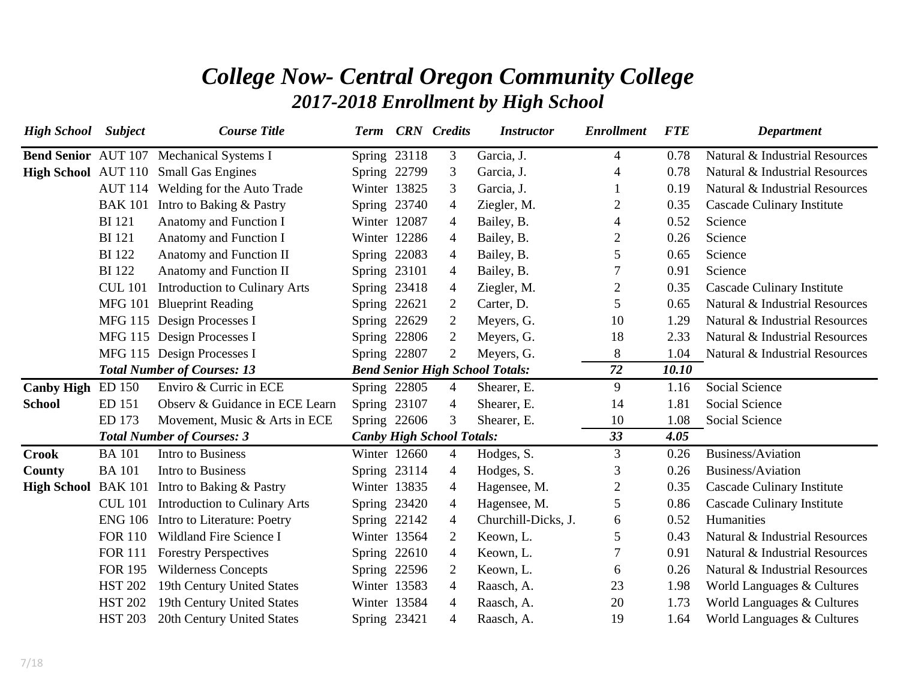## *College Now- Central Oregon Community College 2017-2018 Enrollment by High School*

| <b>High School</b> Subject |                | <b>Course Title</b>                             | <b>Term</b>  | <b>CRN</b> Credits               | <b>Instructor</b>                      | <b>Enrollment</b> | <b>FTE</b> | <b>Department</b>              |
|----------------------------|----------------|-------------------------------------------------|--------------|----------------------------------|----------------------------------------|-------------------|------------|--------------------------------|
|                            |                | <b>Bend Senior</b> AUT 107 Mechanical Systems I | Spring 23118 | 3                                | Garcia, J.                             | $\overline{4}$    | 0.78       | Natural & Industrial Resources |
|                            |                | <b>High School</b> AUT 110 Small Gas Engines    | Spring 22799 | 3                                | Garcia, J.                             | 4                 | 0.78       | Natural & Industrial Resources |
|                            |                | AUT 114 Welding for the Auto Trade              | Winter 13825 | 3                                | Garcia, J.                             | 1                 | 0.19       | Natural & Industrial Resources |
|                            |                | BAK 101 Intro to Baking & Pastry                | Spring 23740 | 4                                | Ziegler, M.                            | 2                 | 0.35       | Cascade Culinary Institute     |
|                            | <b>BI</b> 121  | Anatomy and Function I                          | Winter 12087 | 4                                | Bailey, B.                             | 4                 | 0.52       | Science                        |
|                            | <b>BI</b> 121  | Anatomy and Function I                          | Winter 12286 | 4                                | Bailey, B.                             | 2                 | 0.26       | Science                        |
|                            | <b>BI</b> 122  | Anatomy and Function II                         | Spring 22083 | 4                                | Bailey, B.                             | 5                 | 0.65       | Science                        |
|                            | <b>BI</b> 122  | Anatomy and Function II                         | Spring 23101 | $\overline{4}$                   | Bailey, B.                             | 7                 | 0.91       | Science                        |
|                            | <b>CUL 101</b> | <b>Introduction to Culinary Arts</b>            | Spring 23418 | 4                                | Ziegler, M.                            | $\overline{2}$    | 0.35       | Cascade Culinary Institute     |
|                            |                | MFG 101 Blueprint Reading                       | Spring 22621 | 2                                | Carter, D.                             | 5                 | 0.65       | Natural & Industrial Resources |
|                            |                | MFG 115 Design Processes I                      | Spring 22629 | $\overline{2}$                   | Meyers, G.                             | 10                | 1.29       | Natural & Industrial Resources |
|                            |                | MFG 115 Design Processes I                      | Spring 22806 | $\overline{2}$                   | Meyers, G.                             | 18                | 2.33       | Natural & Industrial Resources |
|                            |                | MFG 115 Design Processes I                      | Spring 22807 | $\overline{2}$                   | Meyers, G.                             | $8\,$             | 1.04       | Natural & Industrial Resources |
|                            |                | <b>Total Number of Courses: 13</b>              |              |                                  | <b>Bend Senior High School Totals:</b> | 72                | 10.10      |                                |
| <b>Canby High</b>          | ED 150         | Enviro & Curric in ECE                          | Spring 22805 | 4                                | Shearer, E.                            | 9                 | 1.16       | Social Science                 |
| <b>School</b>              | ED 151         | Observ & Guidance in ECE Learn                  | Spring 23107 | 4                                | Shearer, E.                            | 14                | 1.81       | <b>Social Science</b>          |
|                            | ED 173         | Movement, Music & Arts in ECE                   | Spring 22606 | 3                                | Shearer, E.                            | 10                | 1.08       | Social Science                 |
|                            |                | <b>Total Number of Courses: 3</b>               |              | <b>Canby High School Totals:</b> |                                        | 33                | 4.05       |                                |
| <b>Crook</b>               | <b>BA</b> 101  | Intro to Business                               | Winter 12660 | 4                                | Hodges, S.                             | 3                 | 0.26       | Business/Aviation              |
| <b>County</b>              | <b>BA</b> 101  | Intro to Business                               | Spring 23114 | 4                                | Hodges, S.                             | 3                 | 0.26       | Business/Aviation              |
| High School BAK 101        |                | Intro to Baking & Pastry                        | Winter 13835 | 4                                | Hagensee, M.                           | 2                 | 0.35       | Cascade Culinary Institute     |
|                            | <b>CUL 101</b> | <b>Introduction to Culinary Arts</b>            | Spring 23420 | 4                                | Hagensee, M.                           | 5                 | 0.86       | Cascade Culinary Institute     |
|                            |                | ENG 106 Intro to Literature: Poetry             | Spring 22142 | $\overline{4}$                   | Churchill-Dicks, J.                    | 6                 | 0.52       | Humanities                     |
|                            | <b>FOR 110</b> | Wildland Fire Science I                         | Winter 13564 | 2                                | Keown, L.                              | 5                 | 0.43       | Natural & Industrial Resources |
|                            | <b>FOR 111</b> | <b>Forestry Perspectives</b>                    | Spring 22610 | $\overline{4}$                   | Keown, L.                              | 7                 | 0.91       | Natural & Industrial Resources |
|                            | <b>FOR 195</b> | <b>Wilderness Concepts</b>                      | Spring 22596 | 2                                | Keown, L.                              | 6                 | 0.26       | Natural & Industrial Resources |
|                            | <b>HST 202</b> | 19th Century United States                      | Winter 13583 | 4                                | Raasch, A.                             | 23                | 1.98       | World Languages & Cultures     |
|                            | <b>HST 202</b> | 19th Century United States                      | Winter 13584 | 4                                | Raasch, A.                             | 20                | 1.73       | World Languages & Cultures     |
|                            | <b>HST 203</b> | 20th Century United States                      | Spring 23421 | 4                                | Raasch, A.                             | 19                | 1.64       | World Languages & Cultures     |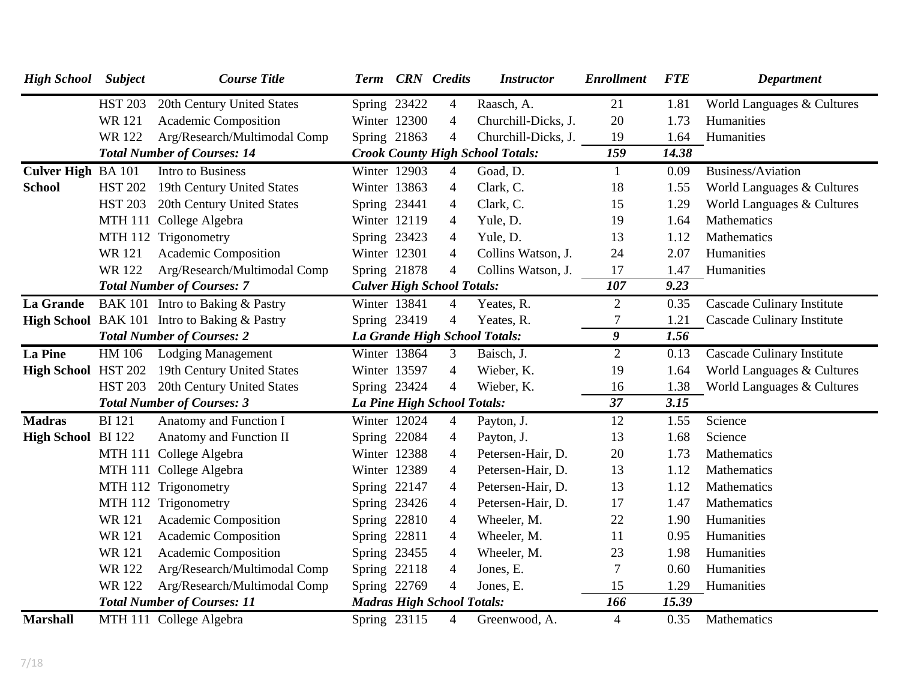| <b>High School</b> Subject |                | <b>Course Title</b>                          | <b>Term</b>  | <b>CRN</b> Credits                | <b>Instructor</b>                       | <b>Enrollment</b> | <b>FTE</b> | <b>Department</b>                 |
|----------------------------|----------------|----------------------------------------------|--------------|-----------------------------------|-----------------------------------------|-------------------|------------|-----------------------------------|
|                            | <b>HST 203</b> | 20th Century United States                   | Spring 23422 | $\overline{4}$                    | Raasch, A.                              | 21                | 1.81       | World Languages & Cultures        |
|                            | <b>WR121</b>   | Academic Composition                         | Winter 12300 | 4                                 | Churchill-Dicks, J.                     | 20                | 1.73       | Humanities                        |
|                            | WR 122         | Arg/Research/Multimodal Comp                 | Spring 21863 | $\overline{4}$                    | Churchill-Dicks, J.                     | 19                | 1.64       | Humanities                        |
|                            |                | <b>Total Number of Courses: 14</b>           |              |                                   | <b>Crook County High School Totals:</b> | 159               | 14.38      |                                   |
| Culver High BA 101         |                | <b>Intro to Business</b>                     | Winter 12903 | $\overline{4}$                    | Goad, D.                                | $\mathbf{1}$      | 0.09       | Business/Aviation                 |
| <b>School</b>              | <b>HST 202</b> | 19th Century United States                   | Winter 13863 | 4                                 | Clark, C.                               | 18                | 1.55       | World Languages & Cultures        |
|                            | <b>HST 203</b> | 20th Century United States                   | Spring 23441 | $\overline{4}$                    | Clark, C.                               | 15                | 1.29       | World Languages & Cultures        |
|                            |                | MTH 111 College Algebra                      | Winter 12119 | $\overline{4}$                    | Yule, D.                                | 19                | 1.64       | Mathematics                       |
|                            |                | MTH 112 Trigonometry                         | Spring 23423 | 4                                 | Yule, D.                                | 13                | 1.12       | Mathematics                       |
|                            | <b>WR121</b>   | Academic Composition                         | Winter 12301 | $\overline{4}$                    | Collins Watson, J.                      | 24                | 2.07       | Humanities                        |
|                            | <b>WR122</b>   | Arg/Research/Multimodal Comp                 | Spring 21878 | $\overline{4}$                    | Collins Watson, J.                      | 17                | 1.47       | Humanities                        |
|                            |                | <b>Total Number of Courses: 7</b>            |              | <b>Culver High School Totals:</b> |                                         | 107               | 9.23       |                                   |
| La Grande                  |                | BAK 101 Intro to Baking & Pastry             | Winter 13841 | 4                                 | Yeates, R.                              | $\overline{2}$    | 0.35       | Cascade Culinary Institute        |
|                            |                | High School BAK 101 Intro to Baking & Pastry | Spring 23419 | $\overline{4}$                    | Yeates, R.                              | 7                 | 1.21       | Cascade Culinary Institute        |
|                            |                | <b>Total Number of Courses: 2</b>            |              |                                   | La Grande High School Totals:           | 9                 | 1.56       |                                   |
| <b>La Pine</b>             | HM 106         | <b>Lodging Management</b>                    | Winter 13864 | 3                                 | Baisch, J.                              | $\overline{2}$    | 0.13       | <b>Cascade Culinary Institute</b> |
| High School HST 202        |                | 19th Century United States                   | Winter 13597 | $\overline{4}$                    | Wieber, K.                              | 19                | 1.64       | World Languages & Cultures        |
|                            | <b>HST 203</b> | 20th Century United States                   | Spring 23424 | $\overline{4}$                    | Wieber, K.                              | 16                | 1.38       | World Languages & Cultures        |
|                            |                | <b>Total Number of Courses: 3</b>            |              | La Pine High School Totals:       |                                         | 37                | 3.15       |                                   |
| <b>Madras</b>              | <b>BI</b> 121  | Anatomy and Function I                       | Winter 12024 | 4                                 | Payton, J.                              | 12                | 1.55       | Science                           |
| High School BI 122         |                | Anatomy and Function II                      | Spring 22084 | $\overline{4}$                    | Payton, J.                              | 13                | 1.68       | Science                           |
|                            |                | MTH 111 College Algebra                      | Winter 12388 | 4                                 | Petersen-Hair, D.                       | 20                | 1.73       | Mathematics                       |
|                            |                | MTH 111 College Algebra                      | Winter 12389 | 4                                 | Petersen-Hair, D.                       | 13                | 1.12       | Mathematics                       |
|                            |                | MTH 112 Trigonometry                         | Spring 22147 | $\overline{4}$                    | Petersen-Hair, D.                       | 13                | 1.12       | Mathematics                       |
|                            |                | MTH 112 Trigonometry                         | Spring 23426 | $\overline{4}$                    | Petersen-Hair, D.                       | 17                | 1.47       | Mathematics                       |
|                            | <b>WR121</b>   | Academic Composition                         | Spring 22810 | $\overline{4}$                    | Wheeler, M.                             | 22                | 1.90       | Humanities                        |
|                            | <b>WR121</b>   | <b>Academic Composition</b>                  | Spring 22811 | 4                                 | Wheeler, M.                             | 11                | 0.95       | Humanities                        |
|                            | <b>WR121</b>   | Academic Composition                         | Spring 23455 | $\overline{4}$                    | Wheeler, M.                             | 23                | 1.98       | Humanities                        |
|                            | <b>WR122</b>   | Arg/Research/Multimodal Comp                 | Spring 22118 | $\overline{4}$                    | Jones, E.                               | 7                 | 0.60       | Humanities                        |
|                            | <b>WR122</b>   | Arg/Research/Multimodal Comp                 | Spring 22769 | $\overline{4}$                    | Jones, E.                               | 15                | 1.29       | Humanities                        |
|                            |                | <b>Total Number of Courses: 11</b>           |              | <b>Madras High School Totals:</b> |                                         | 166               | 15.39      |                                   |
| <b>Marshall</b>            |                | MTH 111 College Algebra                      | Spring 23115 | 4                                 | Greenwood, A.                           | $\overline{4}$    | 0.35       | Mathematics                       |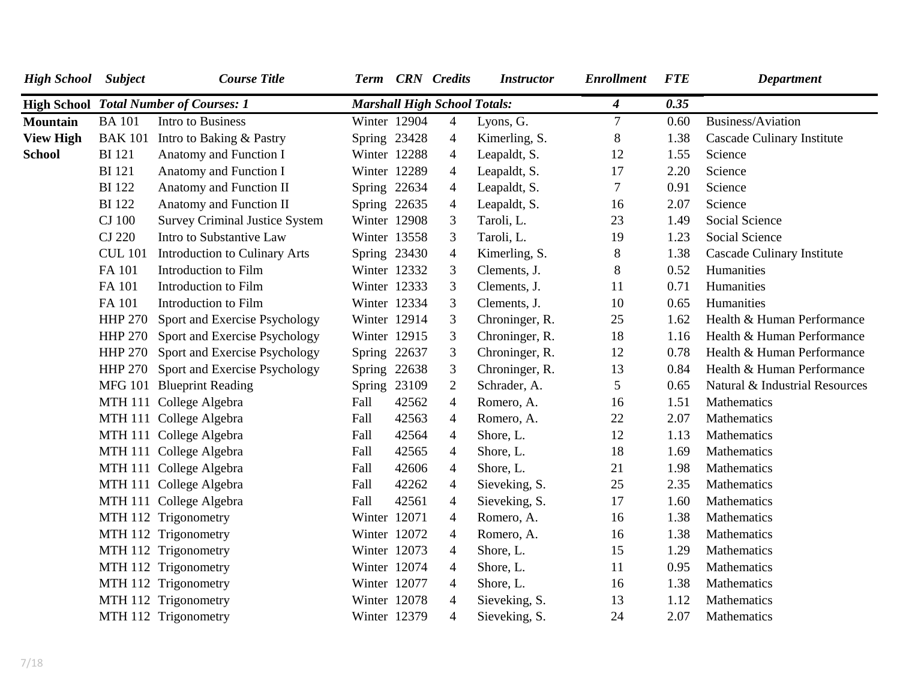| <b>High School</b> Subject |                | <b>Course Title</b>                           |              |       | Term CRN Credits                    | <b>Instructor</b> | <b>Enrollment</b> | <b>FTE</b> | <b>Department</b>                 |
|----------------------------|----------------|-----------------------------------------------|--------------|-------|-------------------------------------|-------------------|-------------------|------------|-----------------------------------|
|                            |                | <b>High School Total Number of Courses: 1</b> |              |       | <b>Marshall High School Totals:</b> |                   | 4                 | 0.35       |                                   |
| <b>Mountain</b>            | <b>BA</b> 101  | Intro to Business                             | Winter 12904 |       | $\overline{4}$                      | Lyons, G.         | 7                 | 0.60       | Business/Aviation                 |
| <b>View High</b>           | <b>BAK 101</b> | Intro to Baking & Pastry                      | Spring 23428 |       | $\overline{4}$                      | Kimerling, S.     | $8\,$             | 1.38       | <b>Cascade Culinary Institute</b> |
| <b>School</b>              | <b>BI</b> 121  | Anatomy and Function I                        | Winter 12288 |       | $\overline{4}$                      | Leapaldt, S.      | 12                | 1.55       | Science                           |
|                            | <b>BI</b> 121  | Anatomy and Function I                        | Winter 12289 |       | $\overline{4}$                      | Leapaldt, S.      | 17                | 2.20       | Science                           |
|                            | <b>BI</b> 122  | Anatomy and Function II                       | Spring 22634 |       | $\overline{4}$                      | Leapaldt, S.      | $\overline{7}$    | 0.91       | Science                           |
|                            | <b>BI</b> 122  | Anatomy and Function II                       | Spring 22635 |       | $\overline{4}$                      | Leapaldt, S.      | 16                | 2.07       | Science                           |
|                            | <b>CJ</b> 100  | <b>Survey Criminal Justice System</b>         | Winter 12908 |       | 3                                   | Taroli, L.        | 23                | 1.49       | Social Science                    |
|                            | <b>CJ 220</b>  | Intro to Substantive Law                      | Winter 13558 |       | 3                                   | Taroli, L.        | 19                | 1.23       | Social Science                    |
|                            | <b>CUL 101</b> | <b>Introduction to Culinary Arts</b>          | Spring 23430 |       | $\overline{4}$                      | Kimerling, S.     | $8\,$             | 1.38       | <b>Cascade Culinary Institute</b> |
|                            | FA 101         | Introduction to Film                          | Winter 12332 |       | 3                                   | Clements, J.      | $8\,$             | 0.52       | Humanities                        |
|                            | FA 101         | Introduction to Film                          | Winter 12333 |       | 3                                   | Clements, J.      | 11                | 0.71       | Humanities                        |
|                            | FA 101         | Introduction to Film                          | Winter 12334 |       | 3                                   | Clements, J.      | 10                | 0.65       | Humanities                        |
|                            | <b>HHP 270</b> | Sport and Exercise Psychology                 | Winter 12914 |       | 3                                   | Chroninger, R.    | 25                | 1.62       | Health & Human Performance        |
|                            | <b>HHP 270</b> | Sport and Exercise Psychology                 | Winter 12915 |       | 3                                   | Chroninger, R.    | 18                | 1.16       | Health & Human Performance        |
|                            |                | HHP 270 Sport and Exercise Psychology         | Spring 22637 |       | 3                                   | Chroninger, R.    | 12                | 0.78       | Health & Human Performance        |
|                            | <b>HHP 270</b> | Sport and Exercise Psychology                 | Spring 22638 |       | 3                                   | Chroninger, R.    | 13                | 0.84       | Health & Human Performance        |
|                            |                | MFG 101 Blueprint Reading                     | Spring 23109 |       | $\overline{2}$                      | Schrader, A.      | 5                 | 0.65       | Natural & Industrial Resources    |
|                            |                | MTH 111 College Algebra                       | Fall         | 42562 | $\overline{4}$                      | Romero, A.        | 16                | 1.51       | Mathematics                       |
|                            |                | MTH 111 College Algebra                       | Fall         | 42563 | 4                                   | Romero, A.        | 22                | 2.07       | Mathematics                       |
|                            |                | MTH 111 College Algebra                       | Fall         | 42564 | $\overline{4}$                      | Shore, L.         | 12                | 1.13       | Mathematics                       |
|                            |                | MTH 111 College Algebra                       | Fall         | 42565 | 4                                   | Shore, L.         | 18                | 1.69       | Mathematics                       |
|                            |                | MTH 111 College Algebra                       | Fall         | 42606 | 4                                   | Shore, L.         | 21                | 1.98       | Mathematics                       |
|                            |                | MTH 111 College Algebra                       | Fall         | 42262 | 4                                   | Sieveking, S.     | 25                | 2.35       | Mathematics                       |
|                            |                | MTH 111 College Algebra                       | Fall         | 42561 | $\overline{4}$                      | Sieveking, S.     | 17                | 1.60       | Mathematics                       |
|                            |                | MTH 112 Trigonometry                          | Winter 12071 |       | $\overline{4}$                      | Romero, A.        | 16                | 1.38       | Mathematics                       |
|                            |                | MTH 112 Trigonometry                          | Winter 12072 |       | $\overline{4}$                      | Romero, A.        | 16                | 1.38       | Mathematics                       |
|                            |                | MTH 112 Trigonometry                          | Winter 12073 |       | 4                                   | Shore, L.         | 15                | 1.29       | Mathematics                       |
|                            |                | MTH 112 Trigonometry                          | Winter 12074 |       | $\overline{4}$                      | Shore, L.         | 11                | 0.95       | Mathematics                       |
|                            |                | MTH 112 Trigonometry                          | Winter 12077 |       | 4                                   | Shore, L.         | 16                | 1.38       | Mathematics                       |
|                            |                | MTH 112 Trigonometry                          | Winter 12078 |       | 4                                   | Sieveking, S.     | 13                | 1.12       | Mathematics                       |
|                            |                | MTH 112 Trigonometry                          | Winter 12379 |       | $\overline{4}$                      | Sieveking, S.     | 24                | 2.07       | Mathematics                       |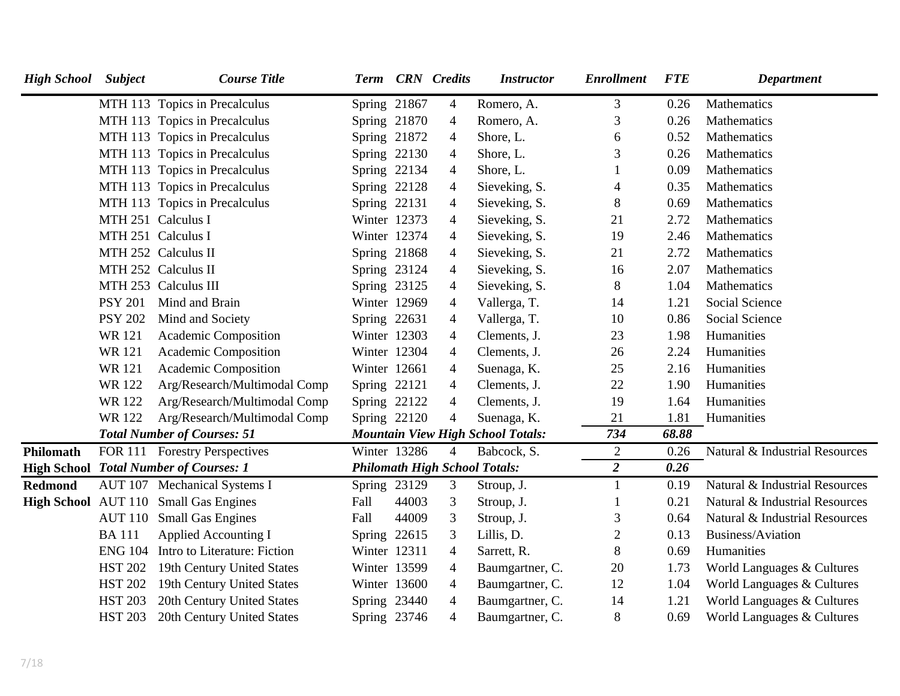| <b>High School</b> | <b>Subject</b> | <b>Course Title</b>                           | Term           |       | <b>CRN</b> Credits       | <b>Instructor</b>                        | <b>Enrollment</b> | <b>FTE</b> | <b>Department</b>              |
|--------------------|----------------|-----------------------------------------------|----------------|-------|--------------------------|------------------------------------------|-------------------|------------|--------------------------------|
|                    |                | MTH 113 Topics in Precalculus                 | Spring 21867   |       | $\overline{4}$           | Romero, A.                               | 3                 | 0.26       | Mathematics                    |
|                    |                | MTH 113 Topics in Precalculus                 | Spring 21870   |       | $\overline{4}$           | Romero, A.                               | 3                 | 0.26       | Mathematics                    |
|                    |                | MTH 113 Topics in Precalculus                 | Spring 21872   |       | $\overline{4}$           | Shore, L.                                | 6                 | 0.52       | Mathematics                    |
|                    |                | MTH 113 Topics in Precalculus                 | Spring 22130   |       | 4                        | Shore, L.                                | 3                 | 0.26       | Mathematics                    |
|                    |                | MTH 113 Topics in Precalculus                 | Spring 22134   |       | 4                        | Shore, L.                                |                   | 0.09       | Mathematics                    |
|                    |                | MTH 113 Topics in Precalculus                 | Spring 22128   |       | 4                        | Sieveking, S.                            | 4                 | 0.35       | Mathematics                    |
|                    |                | MTH 113 Topics in Precalculus                 | Spring 22131   |       | $\overline{\mathcal{A}}$ | Sieveking, S.                            | $8\,$             | 0.69       | Mathematics                    |
|                    |                | MTH 251 Calculus I                            | Winter 12373   |       | 4                        | Sieveking, S.                            | 21                | 2.72       | Mathematics                    |
|                    |                | MTH 251 Calculus I                            | Winter 12374   |       | 4                        | Sieveking, S.                            | 19                | 2.46       | <b>Mathematics</b>             |
|                    |                | MTH 252 Calculus II                           | Spring 21868   |       | 4                        | Sieveking, S.                            | 21                | 2.72       | Mathematics                    |
|                    |                | MTH 252 Calculus II                           | Spring 23124   |       | $\overline{4}$           | Sieveking, S.                            | 16                | 2.07       | Mathematics                    |
|                    |                | MTH 253 Calculus III                          | Spring 23125   |       | 4                        | Sieveking, S.                            | 8                 | 1.04       | Mathematics                    |
|                    | <b>PSY 201</b> | Mind and Brain                                | Winter 12969   |       | 4                        | Vallerga, T.                             | 14                | 1.21       | <b>Social Science</b>          |
|                    | <b>PSY 202</b> | Mind and Society                              | Spring 22631   |       | 4                        | Vallerga, T.                             | 10                | 0.86       | <b>Social Science</b>          |
|                    | <b>WR121</b>   | Academic Composition                          | Winter 12303   |       | 4                        | Clements, J.                             | 23                | 1.98       | Humanities                     |
|                    | <b>WR121</b>   | Academic Composition                          | Winter 12304   |       | $\overline{\mathcal{A}}$ | Clements, J.                             | 26                | 2.24       | Humanities                     |
|                    | <b>WR121</b>   | Academic Composition                          | Winter 12661   |       | $\overline{4}$           | Suenaga, K.                              | 25                | 2.16       | Humanities                     |
|                    | WR 122         | Arg/Research/Multimodal Comp                  | Spring 22121   |       | 4                        | Clements, J.                             | 22                | 1.90       | Humanities                     |
|                    | <b>WR122</b>   | Arg/Research/Multimodal Comp                  | Spring 22122   |       | $\overline{4}$           | Clements, J.                             | 19                | 1.64       | Humanities                     |
|                    | <b>WR122</b>   | Arg/Research/Multimodal Comp                  | Spring 22120   |       | 4                        | Suenaga, K.                              | 21                | 1.81       | Humanities                     |
|                    |                | <b>Total Number of Courses: 51</b>            |                |       |                          | <b>Mountain View High School Totals:</b> | 734               | 68.88      |                                |
| Philomath          |                | FOR 111 Forestry Perspectives                 | Winter 13286   |       | $\overline{4}$           | Babcock, S.                              | $\overline{2}$    | 0.26       | Natural & Industrial Resources |
|                    |                | <b>High School Total Number of Courses: 1</b> |                |       |                          | <b>Philomath High School Totals:</b>     | $\overline{2}$    | 0.26       |                                |
| <b>Redmond</b>     |                | AUT 107 Mechanical Systems I                  | Spring 23129   |       | 3                        | Stroup, J.                               | 1                 | 0.19       | Natural & Industrial Resources |
|                    |                | High School AUT 110 Small Gas Engines         | Fall           | 44003 | 3                        | Stroup, J.                               | 1                 | 0.21       | Natural & Industrial Resources |
|                    | <b>AUT 110</b> | <b>Small Gas Engines</b>                      | Fall           | 44009 | 3                        | Stroup, J.                               | 3                 | 0.64       | Natural & Industrial Resources |
|                    | <b>BA111</b>   | <b>Applied Accounting I</b>                   | Spring $22615$ |       | 3                        | Lillis, D.                               | $\mathbf{2}$      | 0.13       | Business/Aviation              |
|                    |                | ENG 104 Intro to Literature: Fiction          | Winter 12311   |       | 4                        | Sarrett, R.                              | 8                 | 0.69       | Humanities                     |
|                    | <b>HST 202</b> | 19th Century United States                    | Winter 13599   |       | 4                        | Baumgartner, C.                          | 20                | 1.73       | World Languages & Cultures     |
|                    | <b>HST 202</b> | 19th Century United States                    | Winter 13600   |       | 4                        | Baumgartner, C.                          | 12                | 1.04       | World Languages & Cultures     |
|                    | <b>HST 203</b> | 20th Century United States                    | Spring 23440   |       | $\overline{4}$           | Baumgartner, C.                          | 14                | 1.21       | World Languages & Cultures     |
|                    | <b>HST 203</b> | 20th Century United States                    | Spring 23746   |       | $\overline{4}$           | Baumgartner, C.                          | 8                 | 0.69       | World Languages & Cultures     |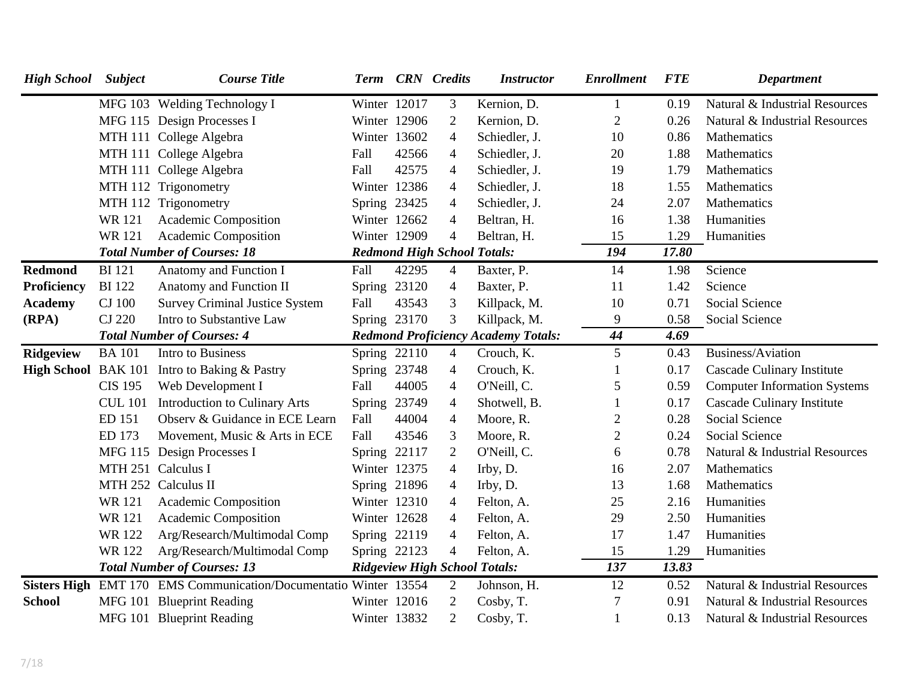| <b>High School</b>  | <b>Subject</b> | <b>Course Title</b>                                 |              |       | Term CRN Credits                   | <b>Instructor</b>                          | <b>Enrollment</b> | <b>FTE</b> | <b>Department</b>                   |
|---------------------|----------------|-----------------------------------------------------|--------------|-------|------------------------------------|--------------------------------------------|-------------------|------------|-------------------------------------|
|                     |                | MFG 103 Welding Technology I                        | Winter 12017 |       | 3                                  | Kernion, D.                                | $\mathbf{1}$      | 0.19       | Natural & Industrial Resources      |
|                     |                | MFG 115 Design Processes I                          | Winter 12906 |       | $\overline{2}$                     | Kernion, D.                                | $\overline{2}$    | 0.26       | Natural & Industrial Resources      |
|                     |                | MTH 111 College Algebra                             | Winter 13602 |       | $\overline{4}$                     | Schiedler, J.                              | 10                | 0.86       | Mathematics                         |
|                     |                | MTH 111 College Algebra                             | Fall         | 42566 | $\overline{4}$                     | Schiedler, J.                              | 20                | 1.88       | Mathematics                         |
|                     |                | MTH 111 College Algebra                             | Fall         | 42575 | $\overline{4}$                     | Schiedler, J.                              | 19                | 1.79       | Mathematics                         |
|                     |                | MTH 112 Trigonometry                                | Winter 12386 |       | 4                                  | Schiedler, J.                              | 18                | 1.55       | Mathematics                         |
|                     |                | MTH 112 Trigonometry                                | Spring 23425 |       | 4                                  | Schiedler, J.                              | 24                | 2.07       | Mathematics                         |
|                     | <b>WR121</b>   | Academic Composition                                | Winter 12662 |       | $\overline{4}$                     | Beltran, H.                                | 16                | 1.38       | Humanities                          |
|                     | <b>WR121</b>   | Academic Composition                                | Winter 12909 |       | 4                                  | Beltran, H.                                | 15                | 1.29       | Humanities                          |
|                     |                | <b>Total Number of Courses: 18</b>                  |              |       | <b>Redmond High School Totals:</b> |                                            | 194               | 17.80      |                                     |
| <b>Redmond</b>      | <b>BI</b> 121  | Anatomy and Function I                              | Fall         | 42295 | $\overline{4}$                     | Baxter, P.                                 | 14                | 1.98       | Science                             |
| Proficiency         | <b>BI</b> 122  | Anatomy and Function II                             | Spring 23120 |       | $\overline{4}$                     | Baxter, P.                                 | 11                | 1.42       | Science                             |
| <b>Academy</b>      | <b>CJ</b> 100  | <b>Survey Criminal Justice System</b>               | Fall         | 43543 | 3                                  | Killpack, M.                               | 10                | 0.71       | Social Science                      |
| (RPA)               | <b>CJ 220</b>  | Intro to Substantive Law                            | Spring 23170 |       | 3                                  | Killpack, M.                               | 9                 | 0.58       | Social Science                      |
|                     |                | <b>Total Number of Courses: 4</b>                   |              |       |                                    | <b>Redmond Proficiency Academy Totals:</b> | 44                | 4.69       |                                     |
| <b>Ridgeview</b>    | <b>BA</b> 101  | Intro to Business                                   | Spring 22110 |       | $\overline{4}$                     | Crouch, K.                                 | 5                 | 0.43       | Business/Aviation                   |
| High School BAK 101 |                | Intro to Baking & Pastry                            | Spring 23748 |       | $\overline{4}$                     | Crouch, K.                                 |                   | 0.17       | <b>Cascade Culinary Institute</b>   |
|                     | <b>CIS 195</b> | Web Development I                                   | Fall         | 44005 | $\overline{4}$                     | O'Neill, C.                                | 5                 | 0.59       | <b>Computer Information Systems</b> |
|                     | <b>CUL 101</b> | <b>Introduction to Culinary Arts</b>                | Spring 23749 |       | 4                                  | Shotwell, B.                               | $\mathbf{1}$      | 0.17       | <b>Cascade Culinary Institute</b>   |
|                     | ED 151         | Observ & Guidance in ECE Learn                      | Fall         | 44004 | $\overline{4}$                     | Moore, R.                                  | $\overline{2}$    | 0.28       | <b>Social Science</b>               |
|                     | ED 173         | Movement, Music & Arts in ECE                       | Fall         | 43546 | 3                                  | Moore, R.                                  | $\overline{2}$    | 0.24       | Social Science                      |
|                     |                | MFG 115 Design Processes I                          | Spring 22117 |       | $\overline{2}$                     | O'Neill, C.                                | 6                 | 0.78       | Natural & Industrial Resources      |
|                     |                | MTH 251 Calculus I                                  | Winter 12375 |       | 4                                  | Irby, D.                                   | 16                | 2.07       | Mathematics                         |
|                     |                | MTH 252 Calculus II                                 | Spring 21896 |       | $\overline{4}$                     | Irby, D.                                   | 13                | 1.68       | Mathematics                         |
|                     | <b>WR121</b>   | Academic Composition                                | Winter 12310 |       | 4                                  | Felton, A.                                 | 25                | 2.16       | Humanities                          |
|                     | <b>WR121</b>   | Academic Composition                                | Winter 12628 |       | 4                                  | Felton, A.                                 | 29                | 2.50       | Humanities                          |
|                     | <b>WR122</b>   | Arg/Research/Multimodal Comp                        | Spring 22119 |       | 4                                  | Felton, A.                                 | 17                | 1.47       | Humanities                          |
|                     | WR 122         | Arg/Research/Multimodal Comp                        | Spring 22123 |       | $\overline{4}$                     | Felton, A.                                 | 15                | 1.29       | Humanities                          |
|                     |                | <b>Total Number of Courses: 13</b>                  |              |       |                                    | <b>Ridgeview High School Totals:</b>       | 137               | 13.83      |                                     |
| <b>Sisters High</b> |                | EMT 170 EMS Communication/Documentatio Winter 13554 |              |       | $\overline{2}$                     | Johnson, H.                                | 12                | 0.52       | Natural & Industrial Resources      |
| <b>School</b>       |                | MFG 101 Blueprint Reading                           | Winter 12016 |       | $\mathbf{2}$                       | Cosby, T.                                  | $\overline{7}$    | 0.91       | Natural & Industrial Resources      |
|                     |                | MFG 101 Blueprint Reading                           | Winter 13832 |       | $\overline{2}$                     | Cosby, T.                                  |                   | 0.13       | Natural & Industrial Resources      |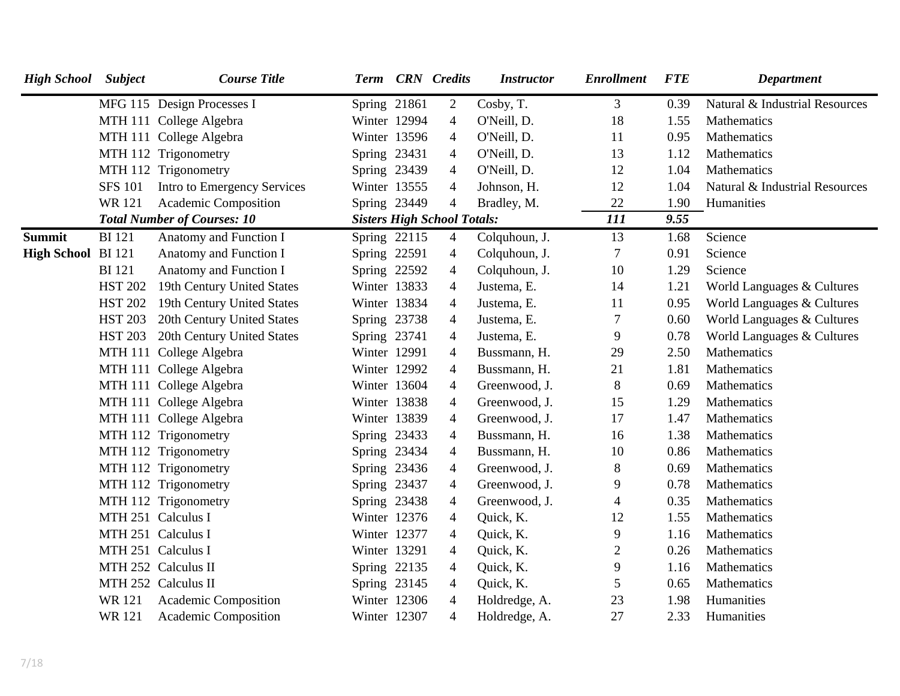| <b>High School</b> Subject |                | <b>Course Title</b>                |              | Term CRN Credits                   | <b>Instructor</b> | <b>Enrollment</b> | <b>FTE</b> | <b>Department</b>              |
|----------------------------|----------------|------------------------------------|--------------|------------------------------------|-------------------|-------------------|------------|--------------------------------|
|                            |                | MFG 115 Design Processes I         | Spring 21861 | 2                                  | Cosby, T.         | 3                 | 0.39       | Natural & Industrial Resources |
|                            |                | MTH 111 College Algebra            | Winter 12994 | $\overline{4}$                     | O'Neill, D.       | 18                | 1.55       | Mathematics                    |
|                            |                | MTH 111 College Algebra            | Winter 13596 | $\overline{4}$                     | O'Neill, D.       | 11                | 0.95       | Mathematics                    |
|                            |                | MTH 112 Trigonometry               | Spring 23431 | 4                                  | O'Neill, D.       | 13                | 1.12       | Mathematics                    |
|                            |                | MTH 112 Trigonometry               | Spring 23439 | $\overline{4}$                     | O'Neill, D.       | 12                | 1.04       | Mathematics                    |
|                            | <b>SFS 101</b> | Intro to Emergency Services        | Winter 13555 | $\overline{4}$                     | Johnson, H.       | 12                | 1.04       | Natural & Industrial Resources |
|                            | <b>WR121</b>   | Academic Composition               | Spring 23449 | $\overline{4}$                     | Bradley, M.       | $22\,$            | 1.90       | Humanities                     |
|                            |                | <b>Total Number of Courses: 10</b> |              | <b>Sisters High School Totals:</b> |                   | 111               | 9.55       |                                |
| <b>Summit</b>              | <b>BI</b> 121  | Anatomy and Function I             | Spring 22115 | $\overline{4}$                     | Colquhoun, J.     | 13                | 1.68       | Science                        |
| High School BI 121         |                | Anatomy and Function I             | Spring 22591 | $\overline{4}$                     | Colquhoun, J.     | 7                 | 0.91       | Science                        |
|                            | <b>BI</b> 121  | Anatomy and Function I             | Spring 22592 | $\overline{4}$                     | Colquhoun, J.     | 10                | 1.29       | Science                        |
|                            | <b>HST 202</b> | 19th Century United States         | Winter 13833 | $\overline{4}$                     | Justema, E.       | 14                | 1.21       | World Languages & Cultures     |
|                            | <b>HST 202</b> | 19th Century United States         | Winter 13834 | $\overline{4}$                     | Justema, E.       | 11                | 0.95       | World Languages & Cultures     |
|                            | <b>HST 203</b> | 20th Century United States         | Spring 23738 | $\overline{4}$                     | Justema, E.       | 7                 | 0.60       | World Languages & Cultures     |
|                            | <b>HST 203</b> | 20th Century United States         | Spring 23741 | $\overline{4}$                     | Justema, E.       | 9                 | 0.78       | World Languages & Cultures     |
|                            |                | MTH 111 College Algebra            | Winter 12991 | 4                                  | Bussmann, H.      | 29                | 2.50       | Mathematics                    |
|                            |                | MTH 111 College Algebra            | Winter 12992 | $\overline{4}$                     | Bussmann, H.      | 21                | 1.81       | Mathematics                    |
|                            |                | MTH 111 College Algebra            | Winter 13604 | $\overline{4}$                     | Greenwood, J.     | 8                 | 0.69       | Mathematics                    |
|                            |                | MTH 111 College Algebra            | Winter 13838 | $\overline{4}$                     | Greenwood, J.     | 15                | 1.29       | Mathematics                    |
|                            |                | MTH 111 College Algebra            | Winter 13839 | $\overline{4}$                     | Greenwood, J.     | 17                | 1.47       | Mathematics                    |
|                            |                | MTH 112 Trigonometry               | Spring 23433 | $\overline{4}$                     | Bussmann, H.      | 16                | 1.38       | Mathematics                    |
|                            |                | MTH 112 Trigonometry               | Spring 23434 | $\overline{4}$                     | Bussmann, H.      | 10                | 0.86       | Mathematics                    |
|                            |                | MTH 112 Trigonometry               | Spring 23436 | $\overline{4}$                     | Greenwood, J.     | 8                 | 0.69       | Mathematics                    |
|                            |                | MTH 112 Trigonometry               | Spring 23437 | $\overline{4}$                     | Greenwood, J.     | 9                 | 0.78       | Mathematics                    |
|                            |                | MTH 112 Trigonometry               | Spring 23438 | $\overline{4}$                     | Greenwood, J.     | 4                 | 0.35       | Mathematics                    |
|                            |                | MTH 251 Calculus I                 | Winter 12376 | 4                                  | Quick, K.         | 12                | 1.55       | Mathematics                    |
|                            |                | MTH 251 Calculus I                 | Winter 12377 | $\overline{4}$                     | Quick, K.         | 9                 | 1.16       | Mathematics                    |
|                            |                | MTH 251 Calculus I                 | Winter 13291 | $\overline{4}$                     | Quick, K.         | $\overline{c}$    | 0.26       | Mathematics                    |
|                            |                | MTH 252 Calculus II                | Spring 22135 | $\overline{4}$                     | Quick, K.         | 9                 | 1.16       | Mathematics                    |
|                            |                | MTH 252 Calculus II                | Spring 23145 | $\overline{4}$                     | Quick, K.         | 5                 | 0.65       | Mathematics                    |
|                            | WR 121         | Academic Composition               | Winter 12306 | $\overline{4}$                     | Holdredge, A.     | 23                | 1.98       | Humanities                     |
|                            | <b>WR121</b>   | Academic Composition               | Winter 12307 | $\overline{4}$                     | Holdredge, A.     | 27                | 2.33       | Humanities                     |